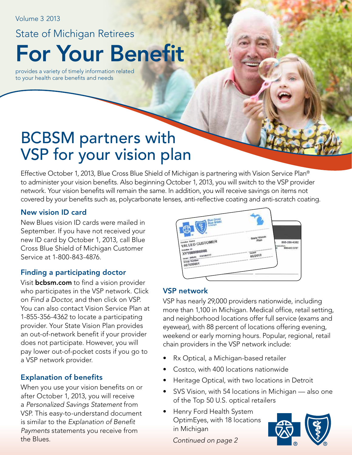Volume 3 2013

# For Your Benefit State of Michigan Retirees

provides a variety of timely information related to your health care benefits and needs

## BCBSM partners with VSP for your vision plan

Effective October 1, 2013, Blue Cross Blue Shield of Michigan is partnering with Vision Service Plan® to administer your vision benefits. Also beginning October 1, 2013, you will switch to the VSP provider network. Your vision benefits will remain the same. In addition, you will receive savings on items not covered by your benefits such as, polycarbonate lenses, anti-reflective coating and anti-scratch coating.

### New vision ID card

New Blues vision ID cards were mailed in September. If you have not received your new ID card by October 1, 2013, call Blue Cross Blue Shield of Michigan Customer Service at 1-800-843-4876.

## Finding a participating doctor

Visit **bcbsm.com** to find a vision provider who participates in the VSP network. Click on *Find a Doctor*, and then click on VSP. You can also contact Vision Service Plan at 1-855-356-4362 to locate a participating provider. Your State Vision Plan provides an out-of-network benefit if your provider does not participate. However, you will pay lower out-of-pocket costs if you go to a VSP network provider.

## Explanation of benefits

When you use your vision benefits on or after October 1, 2013, you will receive a *Personalized Savings Statement* from VSP. This easy-to-understand document is similar to the *Explanation of Benefit Payments* statements you receive from the Blues.



## VSP network

VSP has nearly 29,000 providers nationwide, including more than 1,100 in Michigan. Medical office, retail setting, and neighborhood locations offer full service (exams and eyewear), with 88 percent of locations offering evening, weekend or early morning hours. Popular, regional, retail chain providers in the VSP network include:

- Rx Optical, a Michigan-based retailer
- Costco, with 400 locations nationwide
- Heritage Optical, with two locations in Detroit
- SVS Vision, with 54 locations in Michigan also one of the Top 50 U.S. optical retailers
- Henry Ford Health System OptimEyes, with 18 locations in Michigan



*Continued on page 2*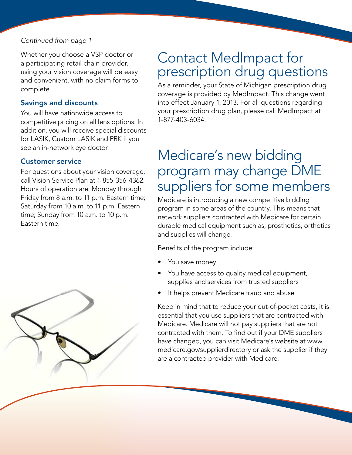### *Continued from page 1*

Whether you choose a VSP doctor or a participating retail chain provider, using your vision coverage will be easy and convenient, with no claim forms to complete.

### Savings and discounts

You will have nationwide access to competitive pricing on all lens options. In addition, you will receive special discounts for LASIK, Custom LASIK and PRK if you see an in-network eye doctor.

### Customer service

For questions about your vision coverage, call Vision Service Plan at 1-855-356-4362. Hours of operation are: Monday through Friday from 8 a.m. to 11 p.m. Eastern time; Saturday from 10 a.m. to 11 p.m. Eastern time; Sunday from 10 a.m. to 10 p.m. Eastern time.



## Contact MedImpact for prescription drug questions

As a reminder, your State of Michigan prescription drug coverage is provided by MedImpact. This change went into effect January 1, 2013. For all questions regarding your prescription drug plan, please call MedImpact at 1-877-403-6034.

## Medicare's new bidding program may change DME suppliers for some members

Medicare is introducing a new competitive bidding program in some areas of the country. This means that network suppliers contracted with Medicare for certain durable medical equipment such as, prosthetics, orthotics and supplies will change.

Benefits of the program include:

- You save money
- You have access to quality medical equipment, supplies and services from trusted suppliers
- It helps prevent Medicare fraud and abuse

Keep in mind that to reduce your out-of-pocket costs, it is essential that you use suppliers that are contracted with Medicare. Medicare will not pay suppliers that are not contracted with them. To find out if your DME suppliers have changed, you can visit Medicare's website at www. medicare.gov/supplierdirectory or ask the supplier if they are a contracted provider with Medicare.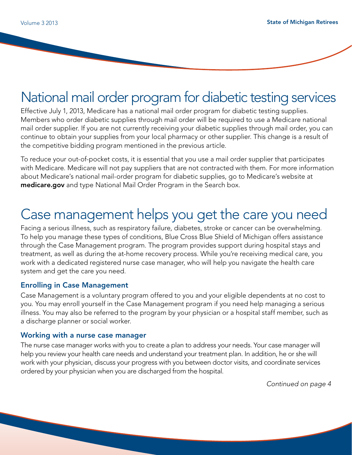## National mail order program for diabetic testing services

Effective July 1, 2013, Medicare has a national mail order program for diabetic testing supplies. Members who order diabetic supplies through mail order will be required to use a Medicare national mail order supplier. If you are not currently receiving your diabetic supplies through mail order, you can continue to obtain your supplies from your local pharmacy or other supplier. This change is a result of the competitive bidding program mentioned in the previous article.

To reduce your out-of-pocket costs, it is essential that you use a mail order supplier that participates with Medicare. Medicare will not pay suppliers that are not contracted with them. For more information about Medicare's national mail-order program for diabetic supplies, go to Medicare's website at medicare.gov and type National Mail Order Program in the Search box.

## Case management helps you get the care you need

Facing a serious illness, such as respiratory failure, diabetes, stroke or cancer can be overwhelming. To help you manage these types of conditions, Blue Cross Blue Shield of Michigan offers assistance through the Case Management program. The program provides support during hospital stays and treatment, as well as during the at-home recovery process. While you're receiving medical care, you work with a dedicated registered nurse case manager, who will help you navigate the health care system and get the care you need.

#### Enrolling in Case Management

Case Management is a voluntary program offered to you and your eligible dependents at no cost to you. You may enroll yourself in the Case Management program if you need help managing a serious illness. You may also be referred to the program by your physician or a hospital staff member, such as a discharge planner or social worker.

#### Working with a nurse case manager

The nurse case manager works with you to create a plan to address your needs. Your case manager will help you review your health care needs and understand your treatment plan. In addition, he or she will work with your physician, discuss your progress with you between doctor visits, and coordinate services ordered by your physician when you are discharged from the hospital.

*Continued on page 4*